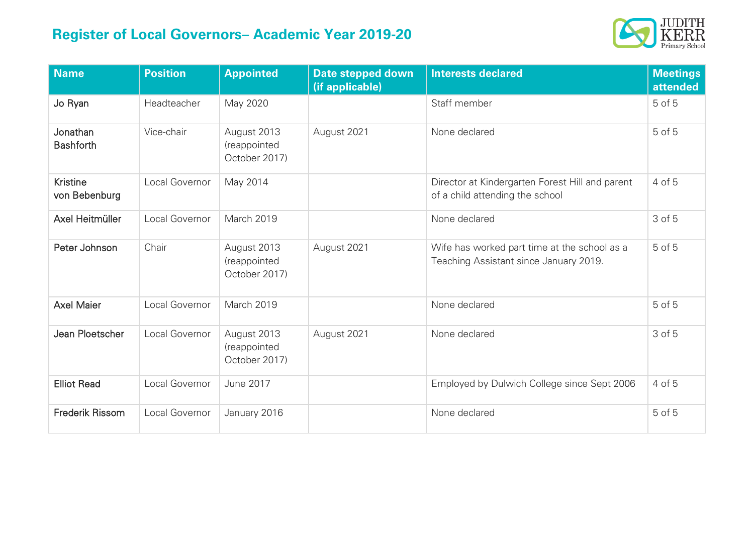## **Register of Local Governors– Academic Year 2019-20**



| <b>Name</b>                      | <b>Position</b> | <b>Appointed</b>                             | Date stepped down<br>(if applicable) | <b>Interests declared</b>                                                              | <b>Meetings</b><br>attended |
|----------------------------------|-----------------|----------------------------------------------|--------------------------------------|----------------------------------------------------------------------------------------|-----------------------------|
| Jo Ryan                          | Headteacher     | May 2020                                     |                                      | Staff member                                                                           | 5 of 5                      |
| Jonathan<br><b>Bashforth</b>     | Vice-chair      | August 2013<br>(reappointed<br>October 2017) | August 2021                          | None declared                                                                          | 5 of 5                      |
| <b>Kristine</b><br>von Bebenburg | Local Governor  | May 2014                                     |                                      | Director at Kindergarten Forest Hill and parent<br>of a child attending the school     | 4 of 5                      |
| Axel Heitmüller                  | Local Governor  | March 2019                                   |                                      | None declared                                                                          | 3 of 5                      |
| Peter Johnson                    | Chair           | August 2013<br>(reappointed<br>October 2017) | August 2021                          | Wife has worked part time at the school as a<br>Teaching Assistant since January 2019. | 5 of 5                      |
| <b>Axel Maier</b>                | Local Governor  | March 2019                                   |                                      | None declared                                                                          | 5 of 5                      |
| Jean Ploetscher                  | Local Governor  | August 2013<br>(reappointed<br>October 2017) | August 2021                          | None declared                                                                          | 3 of 5                      |
| <b>Elliot Read</b>               | Local Governor  | <b>June 2017</b>                             |                                      | Employed by Dulwich College since Sept 2006                                            | 4 of 5                      |
| <b>Frederik Rissom</b>           | Local Governor  | January 2016                                 |                                      | None declared                                                                          | 5 of 5                      |